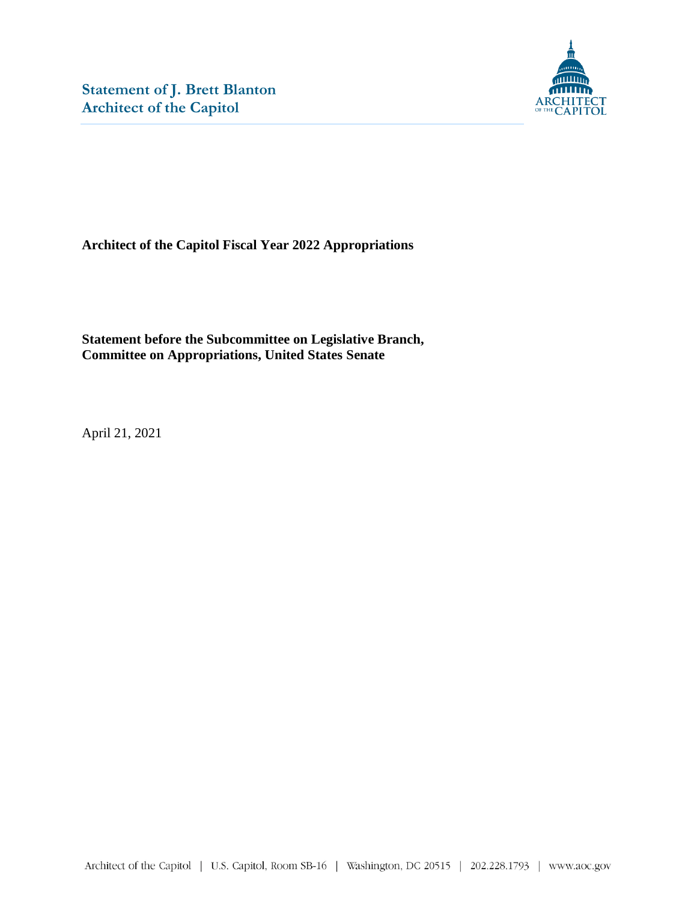

**Architect of the Capitol Fiscal Year 2022 Appropriations**

**Statement before the Subcommittee on Legislative Branch, Committee on Appropriations, United States Senate**

April 21, 2021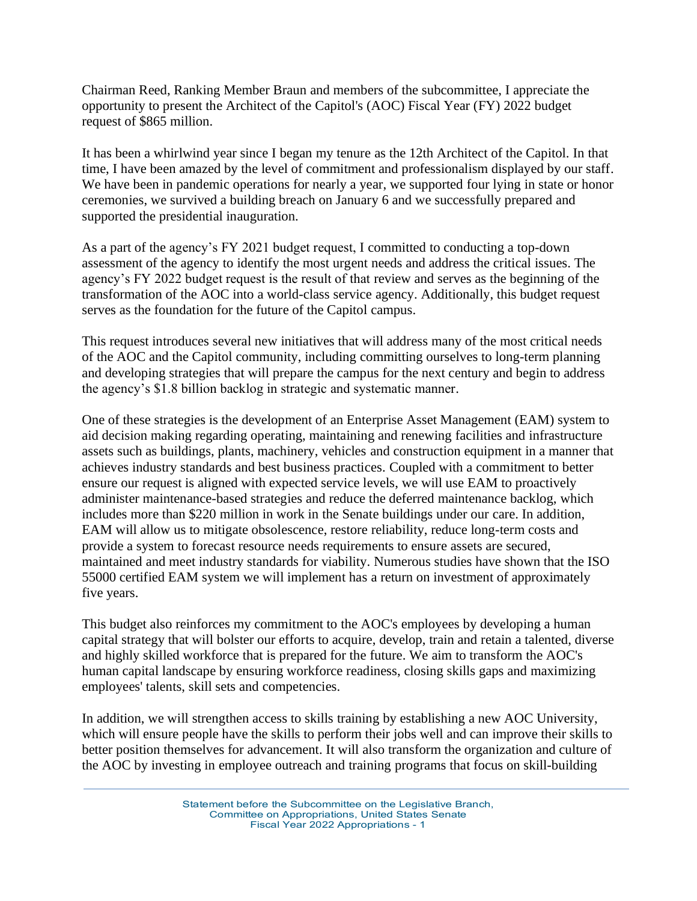Chairman Reed, Ranking Member Braun and members of the subcommittee, I appreciate the opportunity to present the Architect of the Capitol's (AOC) Fiscal Year (FY) 2022 budget request of \$865 million.

It has been a whirlwind year since I began my tenure as the 12th Architect of the Capitol. In that time, I have been amazed by the level of commitment and professionalism displayed by our staff. We have been in pandemic operations for nearly a year, we supported four lying in state or honor ceremonies, we survived a building breach on January 6 and we successfully prepared and supported the presidential inauguration.

As a part of the agency's FY 2021 budget request, I committed to conducting a top-down assessment of the agency to identify the most urgent needs and address the critical issues. The agency's FY 2022 budget request is the result of that review and serves as the beginning of the transformation of the AOC into a world-class service agency. Additionally, this budget request serves as the foundation for the future of the Capitol campus.

This request introduces several new initiatives that will address many of the most critical needs of the AOC and the Capitol community, including committing ourselves to long-term planning and developing strategies that will prepare the campus for the next century and begin to address the agency's \$1.8 billion backlog in strategic and systematic manner.

One of these strategies is the development of an Enterprise Asset Management (EAM) system to aid decision making regarding operating, maintaining and renewing facilities and infrastructure assets such as buildings, plants, machinery, vehicles and construction equipment in a manner that achieves industry standards and best business practices. Coupled with a commitment to better ensure our request is aligned with expected service levels, we will use EAM to proactively administer maintenance-based strategies and reduce the deferred maintenance backlog, which includes more than \$220 million in work in the Senate buildings under our care. In addition, EAM will allow us to mitigate obsolescence, restore reliability, reduce long-term costs and provide a system to forecast resource needs requirements to ensure assets are secured, maintained and meet industry standards for viability. Numerous studies have shown that the ISO 55000 certified EAM system we will implement has a return on investment of approximately five years.

This budget also reinforces my commitment to the AOC's employees by developing a human capital strategy that will bolster our efforts to acquire, develop, train and retain a talented, diverse and highly skilled workforce that is prepared for the future. We aim to transform the AOC's human capital landscape by ensuring workforce readiness, closing skills gaps and maximizing employees' talents, skill sets and competencies.

In addition, we will strengthen access to skills training by establishing a new AOC University, which will ensure people have the skills to perform their jobs well and can improve their skills to better position themselves for advancement. It will also transform the organization and culture of the AOC by investing in employee outreach and training programs that focus on skill-building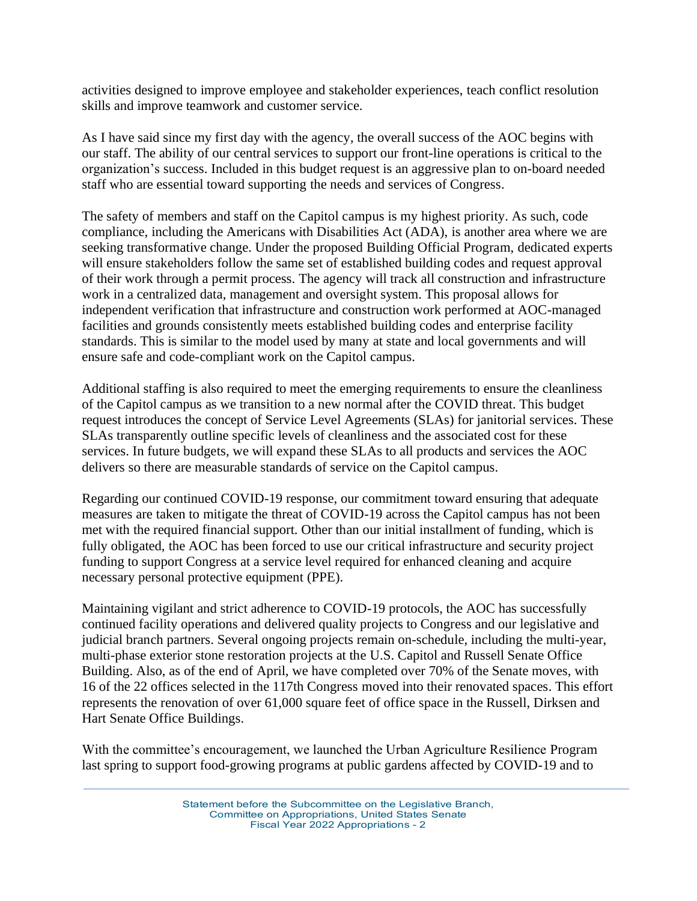activities designed to improve employee and stakeholder experiences, teach conflict resolution skills and improve teamwork and customer service.

As I have said since my first day with the agency, the overall success of the AOC begins with our staff. The ability of our central services to support our front-line operations is critical to the organization's success. Included in this budget request is an aggressive plan to on-board needed staff who are essential toward supporting the needs and services of Congress.

The safety of members and staff on the Capitol campus is my highest priority. As such, code compliance, including the Americans with Disabilities Act (ADA), is another area where we are seeking transformative change. Under the proposed Building Official Program, dedicated experts will ensure stakeholders follow the same set of established building codes and request approval of their work through a permit process. The agency will track all construction and infrastructure work in a centralized data, management and oversight system. This proposal allows for independent verification that infrastructure and construction work performed at AOC-managed facilities and grounds consistently meets established building codes and enterprise facility standards. This is similar to the model used by many at state and local governments and will ensure safe and code-compliant work on the Capitol campus.

Additional staffing is also required to meet the emerging requirements to ensure the cleanliness of the Capitol campus as we transition to a new normal after the COVID threat. This budget request introduces the concept of Service Level Agreements (SLAs) for janitorial services. These SLAs transparently outline specific levels of cleanliness and the associated cost for these services. In future budgets, we will expand these SLAs to all products and services the AOC delivers so there are measurable standards of service on the Capitol campus.

Regarding our continued COVID-19 response, our commitment toward ensuring that adequate measures are taken to mitigate the threat of COVID-19 across the Capitol campus has not been met with the required financial support. Other than our initial installment of funding, which is fully obligated, the AOC has been forced to use our critical infrastructure and security project funding to support Congress at a service level required for enhanced cleaning and acquire necessary personal protective equipment (PPE).

Maintaining vigilant and strict adherence to COVID-19 protocols, the AOC has successfully continued facility operations and delivered quality projects to Congress and our legislative and judicial branch partners. Several ongoing projects remain on-schedule, including the multi-year, multi-phase exterior stone restoration projects at the U.S. Capitol and Russell Senate Office Building. Also, as of the end of April, we have completed over 70% of the Senate moves, with 16 of the 22 offices selected in the 117th Congress moved into their renovated spaces. This effort represents the renovation of over 61,000 square feet of office space in the Russell, Dirksen and Hart Senate Office Buildings.

With the committee's encouragement, we launched the Urban Agriculture Resilience Program last spring to support food-growing programs at public gardens affected by COVID-19 and to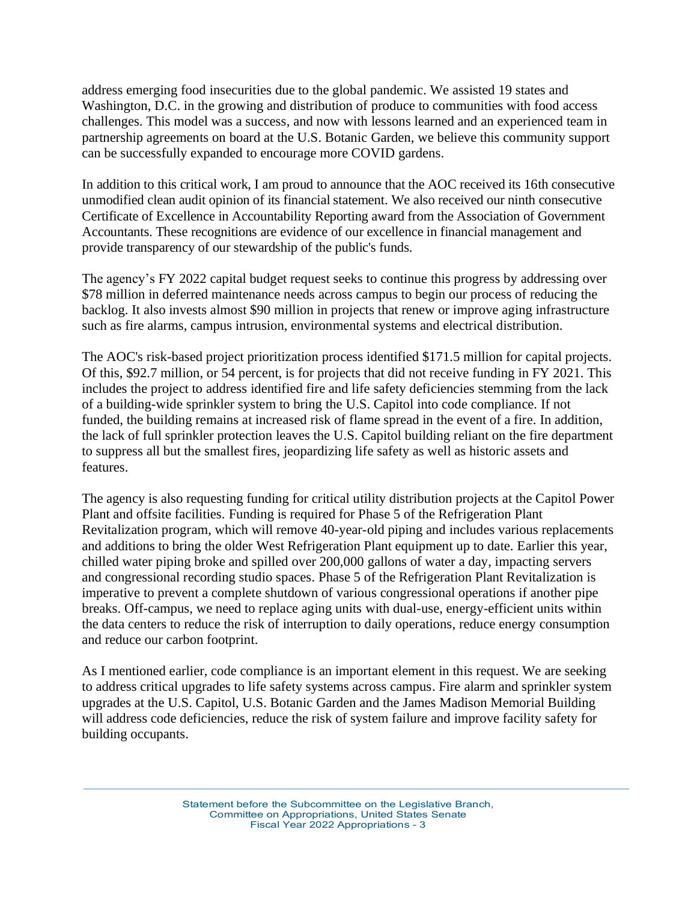address emerging food insecurities due to the global pandemic. We assisted 19 states and Washington, D.C. in the growing and distribution of produce to communities with food access challenges. This model was a success, and now with lessons learned and an experienced team in partnership agreements on board at the U.S. Botanic Garden, we believe this community support can be successfully expanded to encourage more COVID gardens.

In addition to this critical work, I am proud to announce that the AOC received its 16th consecutive unmodified clean audit opinion of its financial statement. We also received our ninth consecutive Certificate of Excellence in Accountability Reporting award from the Association of Government Accountants. These recognitions are evidence of our excellence in financial management and provide transparency of our stewardship of the public's funds.

The agency's FY 2022 capital budget request seeks to continue this progress by addressing over \$78 million in deferred maintenance needs across campus to begin our process of reducing the backlog. It also invests almost \$90 million in projects that renew or improve aging infrastructure such as fire alarms, campus intrusion, environmental systems and electrical distribution.

The AOC's risk-based project prioritization process identified \$171.5 million for capital projects. Of this, \$92.7 million, or 54 percent, is for projects that did not receive funding in FY 2021. This includes the project to address identified fire and life safety deficiencies stemming from the lack of a building-wide sprinkler system to bring the U.S. Capitol into code compliance. If not funded, the building remains at increased risk of flame spread in the event of a fire. In addition, the lack of full sprinkler protection leaves the U.S. Capitol building reliant on the fire department to suppress all but the smallest fires, jeopardizing life safety as well as historic assets and features.

The agency is also requesting funding for critical utility distribution projects at the Capitol Power Plant and offsite facilities. Funding is required for Phase 5 of the Refrigeration Plant Revitalization program, which will remove 40-year-old piping and includes various replacements and additions to bring the older West Refrigeration Plant equipment up to date. Earlier this year, chilled water piping broke and spilled over 200,000 gallons of water a day, impacting servers and congressional recording studio spaces. Phase 5 of the Refrigeration Plant Revitalization is imperative to prevent a complete shutdown of various congressional operations if another pipe breaks. Off-campus, we need to replace aging units with dual-use, energy-efficient units within the data centers to reduce the risk of interruption to daily operations, reduce energy consumption and reduce our carbon footprint.

As I mentioned earlier, code compliance is an important element in this request. We are seeking to address critical upgrades to life safety systems across campus. Fire alarm and sprinkler system upgrades at the U.S. Capitol, U.S. Botanic Garden and the James Madison Memorial Building will address code deficiencies, reduce the risk of system failure and improve facility safety for building occupants.